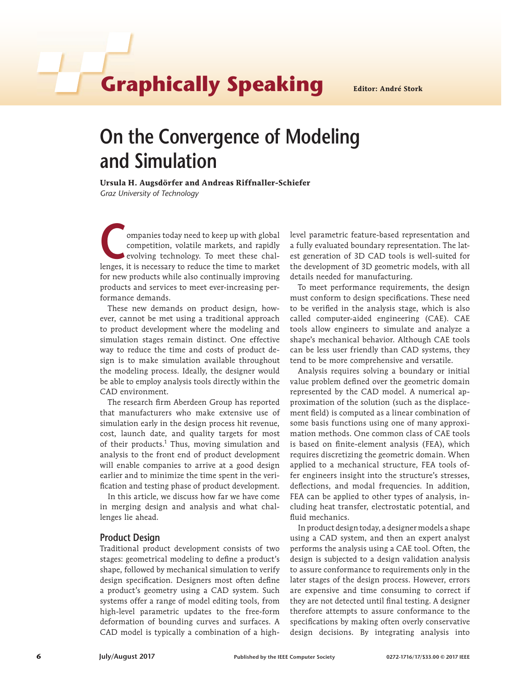# **Graphically Speaking Editor: André Stork**

# **On the Convergence of Modeling and Simulation**

**Ursula H. Augsdörfer and Andreas Riffnaller-Schiefer** *Graz University of Technology*

ompanies today need to keep up with global competition, volatile markets, and rapidly evolving technology. To meet these challenges, it is necessary to reduce the time to market for new products while also continually improving products and services to meet ever-increasing performance demands.

These new demands on product design, however, cannot be met using a traditional approach to product development where the modeling and simulation stages remain distinct. One effective way to reduce the time and costs of product design is to make simulation available throughout the modeling process. Ideally, the designer would be able to employ analysis tools directly within the CAD environment.

The research firm Aberdeen Group has reported that manufacturers who make extensive use of simulation early in the design process hit revenue, cost, launch date, and quality targets for most of their products.<sup>1</sup> Thus, moving simulation and analysis to the front end of product development will enable companies to arrive at a good design earlier and to minimize the time spent in the verification and testing phase of product development.

In this article, we discuss how far we have come in merging design and analysis and what challenges lie ahead.

### **Product Design**

Traditional product development consists of two stages: geometrical modeling to define a product's shape, followed by mechanical simulation to verify design specification. Designers most often define a product's geometry using a CAD system. Such systems offer a range of model editing tools, from high-level parametric updates to the free-form deformation of bounding curves and surfaces. A CAD model is typically a combination of a highlevel parametric feature-based representation and a fully evaluated boundary representation. The latest generation of 3D CAD tools is well-suited for the development of 3D geometric models, with all details needed for manufacturing.

To meet performance requirements, the design must conform to design specifications. These need to be verified in the analysis stage, which is also called computer-aided engineering (CAE). CAE tools allow engineers to simulate and analyze a shape's mechanical behavior. Although CAE tools can be less user friendly than CAD systems, they tend to be more comprehensive and versatile.

Analysis requires solving a boundary or initial value problem defined over the geometric domain represented by the CAD model. A numerical approximation of the solution (such as the displacement field) is computed as a linear combination of some basis functions using one of many approximation methods. One common class of CAE tools is based on finite-element analysis (FEA), which requires discretizing the geometric domain. When applied to a mechanical structure, FEA tools offer engineers insight into the structure's stresses, deflections, and modal frequencies. In addition, FEA can be applied to other types of analysis, including heat transfer, electrostatic potential, and fluid mechanics.

In product design today, a designer models a shape using a CAD system, and then an expert analyst performs the analysis using a CAE tool. Often, the design is subjected to a design validation analysis to assure conformance to requirements only in the later stages of the design process. However, errors are expensive and time consuming to correct if they are not detected until final testing. A designer therefore attempts to assure conformance to the specifications by making often overly conservative design decisions. By integrating analysis into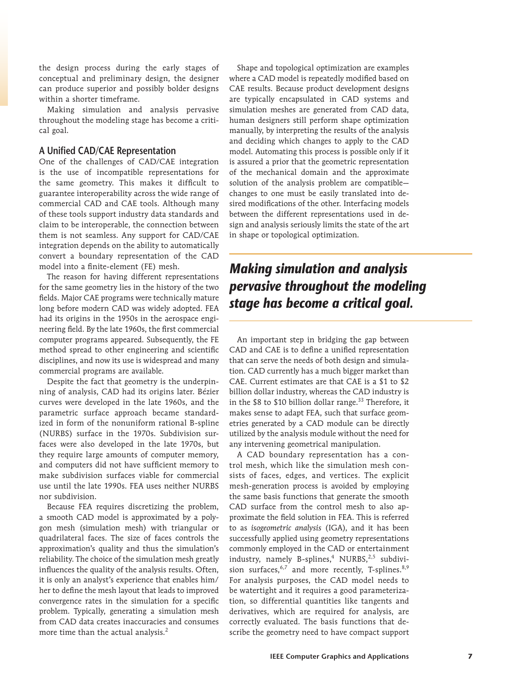the design process during the early stages of conceptual and preliminary design, the designer can produce superior and possibly bolder designs within a shorter timeframe.

Making simulation and analysis pervasive throughout the modeling stage has become a critical goal.

### **A Unified CAD/CAE Representation**

One of the challenges of CAD/CAE integration is the use of incompatible representations for the same geometry. This makes it difficult to guarantee interoperability across the wide range of commercial CAD and CAE tools. Although many of these tools support industry data standards and claim to be interoperable, the connection between them is not seamless. Any support for CAD/CAE integration depends on the ability to automatically convert a boundary representation of the CAD model into a finite-element (FE) mesh.

The reason for having different representations for the same geometry lies in the history of the two fields. Major CAE programs were technically mature long before modern CAD was widely adopted. FEA had its origins in the 1950s in the aerospace engineering field. By the late 1960s, the first commercial computer programs appeared. Subsequently, the FE method spread to other engineering and scientific disciplines, and now its use is widespread and many commercial programs are available.

Despite the fact that geometry is the underpinning of analysis, CAD had its origins later. Bézier curves were developed in the late 1960s, and the parametric surface approach became standardized in form of the nonuniform rational B-spline (NURBS) surface in the 1970s. Subdivision surfaces were also developed in the late 1970s, but they require large amounts of computer memory, and computers did not have sufficient memory to make subdivision surfaces viable for commercial use until the late 1990s. FEA uses neither NURBS nor subdivision.

Because FEA requires discretizing the problem, a smooth CAD model is approximated by a polygon mesh (simulation mesh) with triangular or quadrilateral faces. The size of faces controls the approximation's quality and thus the simulation's reliability. The choice of the simulation mesh greatly influences the quality of the analysis results. Often, it is only an analyst's experience that enables him/ her to define the mesh layout that leads to improved convergence rates in the simulation for a specific problem. Typically, generating a simulation mesh from CAD data creates inaccuracies and consumes more time than the actual analysis.<sup>2</sup>

Shape and topological optimization are examples where a CAD model is repeatedly modified based on CAE results. Because product development designs are typically encapsulated in CAD systems and simulation meshes are generated from CAD data, human designers still perform shape optimization manually, by interpreting the results of the analysis and deciding which changes to apply to the CAD model. Automating this process is possible only if it is assured a prior that the geometric representation of the mechanical domain and the approximate solution of the analysis problem are compatible changes to one must be easily translated into desired modifications of the other. Interfacing models between the different representations used in design and analysis seriously limits the state of the art in shape or topological optimization.

## *Making simulation and analysis pervasive throughout the modeling stage has become a critical goal.*

An important step in bridging the gap between CAD and CAE is to define a unified representation that can serve the needs of both design and simulation. CAD currently has a much bigger market than CAE. Current estimates are that CAE is a \$1 to \$2 billion dollar industry, whereas the CAD industry is in the  $$8$  to  $$10$  billion dollar range.<sup>33</sup> Therefore, it makes sense to adapt FEA, such that surface geometries generated by a CAD module can be directly utilized by the analysis module without the need for any intervening geometrical manipulation.

A CAD boundary representation has a control mesh, which like the simulation mesh consists of faces, edges, and vertices. The explicit mesh-generation process is avoided by employing the same basis functions that generate the smooth CAD surface from the control mesh to also approximate the field solution in FEA. This is referred to as *isogeometric analysis* (IGA), and it has been successfully applied using geometry representations commonly employed in the CAD or entertainment industry, namely B-splines,<sup>4</sup> NURBS,<sup>2,5</sup> subdivision surfaces,  $6,7$  and more recently, T-splines.  $8,9$ For analysis purposes, the CAD model needs to be watertight and it requires a good parameterization, so differential quantities like tangents and derivatives, which are required for analysis, are correctly evaluated. The basis functions that describe the geometry need to have compact support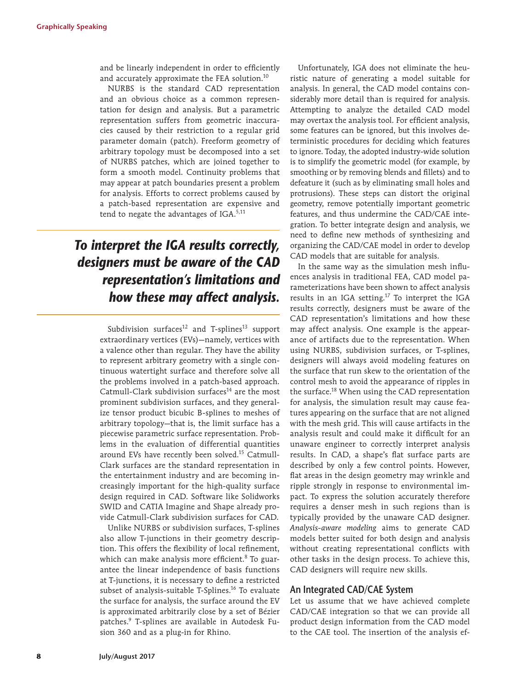and be linearly independent in order to efficiently and accurately approximate the FEA solution.<sup>10</sup>

NURBS is the standard CAD representation and an obvious choice as a common representation for design and analysis. But a parametric representation suffers from geometric inaccuracies caused by their restriction to a regular grid parameter domain (patch). Freeform geometry of arbitrary topology must be decomposed into a set of NURBS patches, which are joined together to form a smooth model. Continuity problems that may appear at patch boundaries present a problem for analysis. Efforts to correct problems caused by a patch-based representation are expensive and tend to negate the advantages of IGA. $5,11$ 

## *To interpret the IGA results correctly, designers must be aware of the CAD representation's limitations and how these may affect analysis.*

Subdivision surfaces<sup>12</sup> and T-splines<sup>13</sup> support extraordinary vertices (EVs)—namely, vertices with a valence other than regular. They have the ability to represent arbitrary geometry with a single continuous watertight surface and therefore solve all the problems involved in a patch-based approach. Catmull-Clark subdivision surfaces $^{14}$  are the most prominent subdivision surfaces, and they generalize tensor product bicubic B-splines to meshes of arbitrary topology—that is, the limit surface has a piecewise parametric surface representation. Problems in the evaluation of differential quantities around EVs have recently been solved.<sup>15</sup> Catmull-Clark surfaces are the standard representation in the entertainment industry and are becoming increasingly important for the high-quality surface design required in CAD. Software like Solidworks SWID and CATIA Imagine and Shape already provide Catmull-Clark subdivision surfaces for CAD.

Unlike NURBS or subdivision surfaces, T-splines also allow T-junctions in their geometry description. This offers the flexibility of local refinement, which can make analysis more efficient.<sup>8</sup> To guarantee the linear independence of basis functions at T-junctions, it is necessary to define a restricted subset of analysis-suitable T-Splines.<sup>16</sup> To evaluate the surface for analysis, the surface around the EV is approximated arbitrarily close by a set of Bézier patches.9 T-splines are available in Autodesk Fusion 360 and as a plug-in for Rhino.

Unfortunately, IGA does not eliminate the heuristic nature of generating a model suitable for analysis. In general, the CAD model contains considerably more detail than is required for analysis. Attempting to analyze the detailed CAD model may overtax the analysis tool. For efficient analysis, some features can be ignored, but this involves deterministic procedures for deciding which features to ignore. Today, the adopted industry-wide solution is to simplify the geometric model (for example, by smoothing or by removing blends and fillets) and to defeature it (such as by eliminating small holes and protrusions). These steps can distort the original geometry, remove potentially important geometric features, and thus undermine the CAD/CAE integration. To better integrate design and analysis, we need to define new methods of synthesizing and organizing the CAD/CAE model in order to develop CAD models that are suitable for analysis.

In the same way as the simulation mesh influences analysis in traditional FEA, CAD model parameterizations have been shown to affect analysis results in an IGA setting.<sup>17</sup> To interpret the IGA results correctly, designers must be aware of the CAD representation's limitations and how these may affect analysis. One example is the appearance of artifacts due to the representation. When using NURBS, subdivision surfaces, or T-splines, designers will always avoid modeling features on the surface that run skew to the orientation of the control mesh to avoid the appearance of ripples in the surface.<sup>18</sup> When using the CAD representation for analysis, the simulation result may cause features appearing on the surface that are not aligned with the mesh grid. This will cause artifacts in the analysis result and could make it difficult for an unaware engineer to correctly interpret analysis results. In CAD, a shape's flat surface parts are described by only a few control points. However, flat areas in the design geometry may wrinkle and ripple strongly in response to environmental impact. To express the solution accurately therefore requires a denser mesh in such regions than is typically provided by the unaware CAD designer. *Analysis-aware modeling* aims to generate CAD models better suited for both design and analysis without creating representational conflicts with other tasks in the design process. To achieve this, CAD designers will require new skills.

### **An Integrated CAD/CAE System**

Let us assume that we have achieved complete CAD/CAE integration so that we can provide all product design information from the CAD model to the CAE tool. The insertion of the analysis ef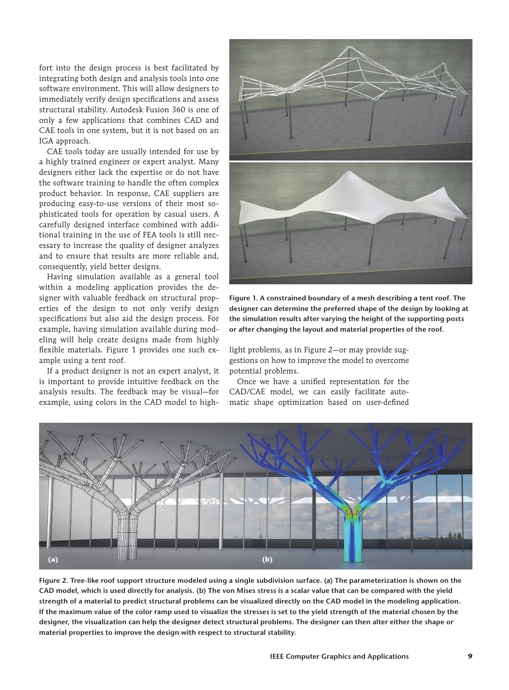fort into the design process is best facilitated by integrating both design and analysis tools into one software environment. This will allow designers to immediately verify design specifications and assess structural stability. Autodesk Fusion 360 is one of only a few applications that combines CAD and CAE tools in one system, but it is not based on an IGA approach.

CAE tools today are usually intended for use by a highly trained engineer or expert analyst. Many designers either lack the expertise or do not have the software training to handle the often complex product behavior. In response, CAE suppliers are producing easy-to-use versions of their most sophisticated tools for operation by casual users. A carefully designed interface combined with additional training in the use of FEA tools is still necessary to increase the quality of designer analyzes and to ensure that results are more reliable and, consequently, yield better designs.

Having simulation available as a general tool within a modeling application provides the designer with valuable feedback on structural properties of the design to not only verify design specifications but also aid the design process. For example, having simulation available during modeling will help create designs made from highly flexible materials. Figure 1 provides one such example using a tent roof.

If a product designer is not an expert analyst, it is important to provide intuitive feedback on the analysis results. The feedback may be visual—for example, using colors in the CAD model to high-



**Figure 1. A constrained boundary of a mesh describing a tent roof. The designer can determine the preferred shape of the design by looking at the simulation results after varying the height of the supporting posts or after changing the layout and material properties of the roof.**

light problems, as in Figure 2—or may provide suggestions on how to improve the model to overcome potential problems.

Once we have a unified representation for the CAD/CAE model, we can easily facilitate automatic shape optimization based on user-defined



**Figure 2. Tree-like roof support structure modeled using a single subdivision surface. (a) The parameterization is shown on the CAD model, which is used directly for analysis. (b) The von Mises stress is a scalar value that can be compared with the yield strength of a material to predict structural problems can be visualized directly on the CAD model in the modeling application. If the maximum value of the color ramp used to visualize the stresses is set to the yield strength of the material chosen by the designer, the visualization can help the designer detect structural problems. The designer can then alter either the shape or material properties to improve the design with respect to structural stability.**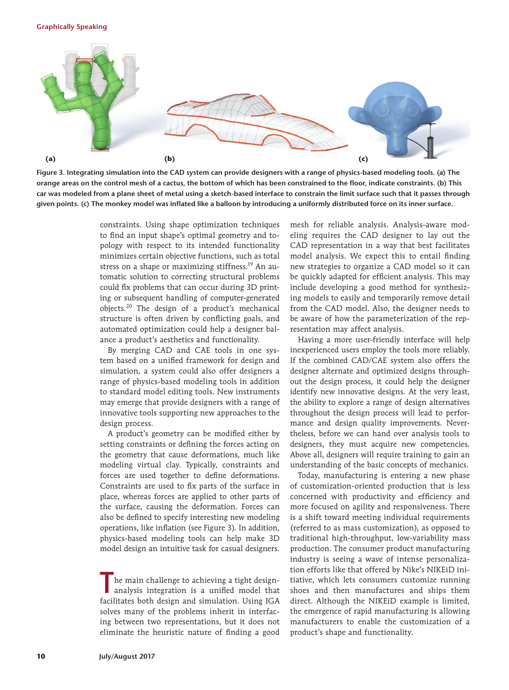#### **Graphically Speaking**



**Figure 3. Integrating simulation into the CAD system can provide designers with a range of physics-based modeling tools. (a) The orange areas on the control mesh of a cactus, the bottom of which has been constrained to the floor, indicate constraints. (b) This car was modeled from a plane sheet of metal using a sketch-based interface to constrain the limit surface such that it passes through given points. (c) The monkey model was inflated like a balloon by introducing a uniformly distributed force on its inner surface.**

constraints. Using shape optimization techniques to find an input shape's optimal geometry and topology with respect to its intended functionality minimizes certain objective functions, such as total stress on a shape or maximizing stiffness.<sup>19</sup> An automatic solution to correcting structural problems could fix problems that can occur during 3D printing or subsequent handling of computer-generated objects.20 The design of a product's mechanical structure is often driven by conflicting goals, and automated optimization could help a designer balance a product's aesthetics and functionality.

By merging CAD and CAE tools in one system based on a unified framework for design and simulation, a system could also offer designers a range of physics-based modeling tools in addition to standard model editing tools. New instruments may emerge that provide designers with a range of innovative tools supporting new approaches to the design process.

A product's geometry can be modified either by setting constraints or defining the forces acting on the geometry that cause deformations, much like modeling virtual clay. Typically, constraints and forces are used together to define deformations. Constraints are used to fix parts of the surface in place, whereas forces are applied to other parts of the surface, causing the deformation. Forces can also be defined to specify interesting new modeling operations, like inflation (see Figure 3). In addition, physics-based modeling tools can help make 3D model design an intuitive task for casual designers.

**T**he main challenge to achieving a tight designanalysis integration is a unified model that facilitates both design and simulation. Using IGA solves many of the problems inherit in interfacing between two representations, but it does not eliminate the heuristic nature of finding a good

mesh for reliable analysis. Analysis-aware modeling requires the CAD designer to lay out the CAD representation in a way that best facilitates model analysis. We expect this to entail finding new strategies to organize a CAD model so it can be quickly adapted for efficient analysis. This may include developing a good method for synthesizing models to easily and temporarily remove detail from the CAD model. Also, the designer needs to be aware of how the parameterization of the representation may affect analysis.

Having a more user-friendly interface will help inexperienced users employ the tools more reliably. If the combined CAD/CAE system also offers the designer alternate and optimized designs throughout the design process, it could help the designer identify new innovative designs. At the very least, the ability to explore a range of design alternatives throughout the design process will lead to performance and design quality improvements. Nevertheless, before we can hand over analysis tools to designers, they must acquire new competencies. Above all, designers will require training to gain an understanding of the basic concepts of mechanics.

Today, manufacturing is entering a new phase of customization-oriented production that is less concerned with productivity and efficiency and more focused on agility and responsiveness. There is a shift toward meeting individual requirements (referred to as mass customization), as opposed to traditional high-throughput, low-variability mass production. The consumer product manufacturing industry is seeing a wave of intense personalization efforts like that offered by Nike's NIKEiD initiative, which lets consumers customize running shoes and then manufactures and ships them direct. Although the NIKEiD example is limited, the emergence of rapid manufacturing is allowing manufacturers to enable the customization of a product's shape and functionality.